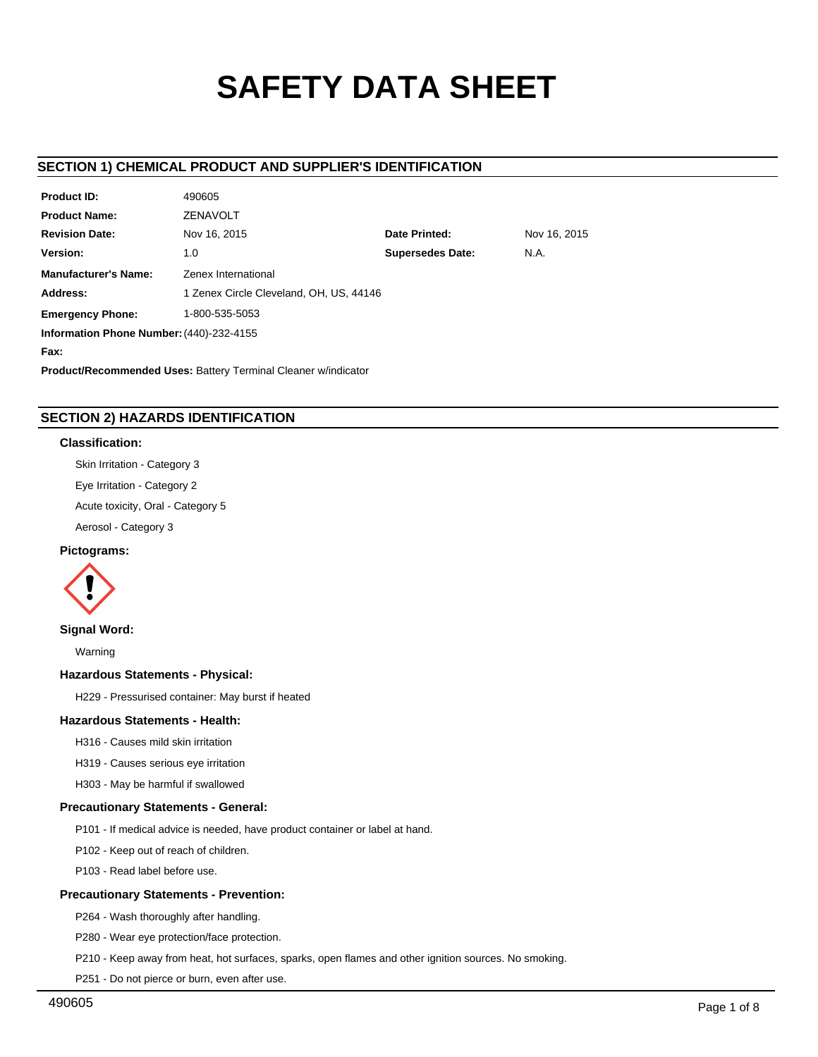# **SAFETY DATA SHEET**

# **SECTION 1) CHEMICAL PRODUCT AND SUPPLIER'S IDENTIFICATION**

| <b>Product ID:</b>                                                    | 490605                                        |  |  |  |  |
|-----------------------------------------------------------------------|-----------------------------------------------|--|--|--|--|
| <b>Product Name:</b>                                                  | <b>ZENAVOLT</b>                               |  |  |  |  |
| <b>Revision Date:</b>                                                 | Nov 16, 2015<br>Date Printed:<br>Nov 16, 2015 |  |  |  |  |
| Version:                                                              | <b>Supersedes Date:</b><br>N.A.<br>1.0        |  |  |  |  |
| <b>Manufacturer's Name:</b>                                           | Zenex International                           |  |  |  |  |
| Address:                                                              | 1 Zenex Circle Cleveland, OH, US, 44146       |  |  |  |  |
| <b>Emergency Phone:</b>                                               | 1-800-535-5053                                |  |  |  |  |
| Information Phone Number: (440)-232-4155                              |                                               |  |  |  |  |
| Fax:                                                                  |                                               |  |  |  |  |
| <b>Product/Recommended Uses: Battery Terminal Cleaner w/indicator</b> |                                               |  |  |  |  |

# **SECTION 2) HAZARDS IDENTIFICATION**

## **Classification:**

Skin Irritation - Category 3 Eye Irritation - Category 2 Acute toxicity, Oral - Category 5 Aerosol - Category 3

## **Pictograms:**



## **Signal Word:**

Warning

# **Hazardous Statements - Physical:**

H229 - Pressurised container: May burst if heated

# **Hazardous Statements - Health:**

H316 - Causes mild skin irritation

H319 - Causes serious eye irritation

H303 - May be harmful if swallowed

# **Precautionary Statements - General:**

P101 - If medical advice is needed, have product container or label at hand.

P102 - Keep out of reach of children.

P103 - Read label before use.

## **Precautionary Statements - Prevention:**

P264 - Wash thoroughly after handling.

P280 - Wear eye protection/face protection.

P210 - Keep away from heat, hot surfaces, sparks, open flames and other ignition sources. No smoking.

P251 - Do not pierce or burn, even after use.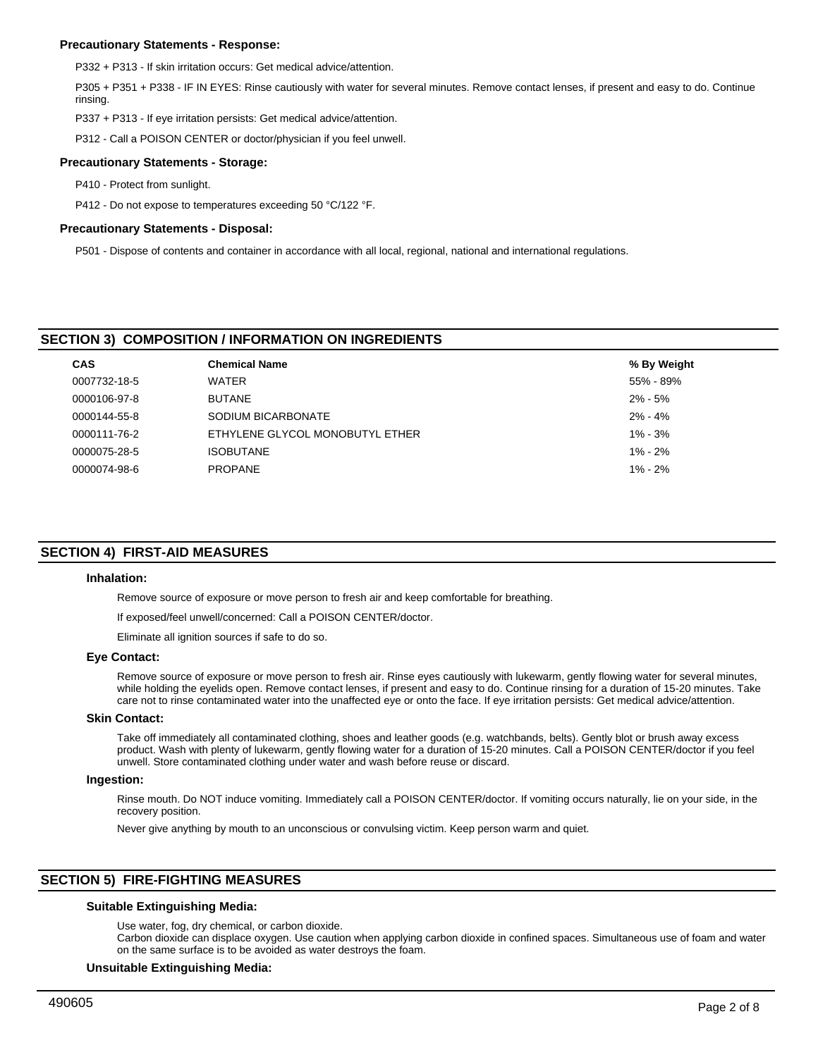## **Precautionary Statements - Response:**

P332 + P313 - If skin irritation occurs: Get medical advice/attention.

P305 + P351 + P338 - IF IN EYES: Rinse cautiously with water for several minutes. Remove contact lenses, if present and easy to do. Continue rinsing.

P337 + P313 - If eye irritation persists: Get medical advice/attention.

P312 - Call a POISON CENTER or doctor/physician if you feel unwell.

#### **Precautionary Statements - Storage:**

P410 - Protect from sunlight.

P412 - Do not expose to temperatures exceeding 50 °C/122 °F.

#### **Precautionary Statements - Disposal:**

P501 - Dispose of contents and container in accordance with all local, regional, national and international regulations.

## **SECTION 3) COMPOSITION / INFORMATION ON INGREDIENTS**

| <b>CAS</b>   | <b>Chemical Name</b>            | % By Weight |
|--------------|---------------------------------|-------------|
| 0007732-18-5 | WATER                           | 55% - 89%   |
| 0000106-97-8 | <b>BUTANE</b>                   | $2\% - 5\%$ |
| 0000144-55-8 | SODIUM BICARBONATE              | $2\% - 4\%$ |
| 0000111-76-2 | ETHYLENE GLYCOL MONOBUTYL ETHER | $1\% - 3\%$ |
| 0000075-28-5 | <b>ISOBUTANE</b>                | $1\% - 2\%$ |
| 0000074-98-6 | <b>PROPANE</b>                  | $1\% - 2\%$ |

## **SECTION 4) FIRST-AID MEASURES**

#### **Inhalation:**

Remove source of exposure or move person to fresh air and keep comfortable for breathing.

If exposed/feel unwell/concerned: Call a POISON CENTER/doctor.

Eliminate all ignition sources if safe to do so.

#### **Eye Contact:**

Remove source of exposure or move person to fresh air. Rinse eyes cautiously with lukewarm, gently flowing water for several minutes, while holding the eyelids open. Remove contact lenses, if present and easy to do. Continue rinsing for a duration of 15-20 minutes. Take care not to rinse contaminated water into the unaffected eye or onto the face. If eye irritation persists: Get medical advice/attention.

#### **Skin Contact:**

Take off immediately all contaminated clothing, shoes and leather goods (e.g. watchbands, belts). Gently blot or brush away excess product. Wash with plenty of lukewarm, gently flowing water for a duration of 15-20 minutes. Call a POISON CENTER/doctor if you feel unwell. Store contaminated clothing under water and wash before reuse or discard.

#### **Ingestion:**

Rinse mouth. Do NOT induce vomiting. Immediately call a POISON CENTER/doctor. If vomiting occurs naturally, lie on your side, in the recovery position.

Never give anything by mouth to an unconscious or convulsing victim. Keep person warm and quiet.

# **SECTION 5) FIRE-FIGHTING MEASURES**

## **Suitable Extinguishing Media:**

Use water, fog, dry chemical, or carbon dioxide.

Carbon dioxide can displace oxygen. Use caution when applying carbon dioxide in confined spaces. Simultaneous use of foam and water on the same surface is to be avoided as water destroys the foam.

#### **Unsuitable Extinguishing Media:**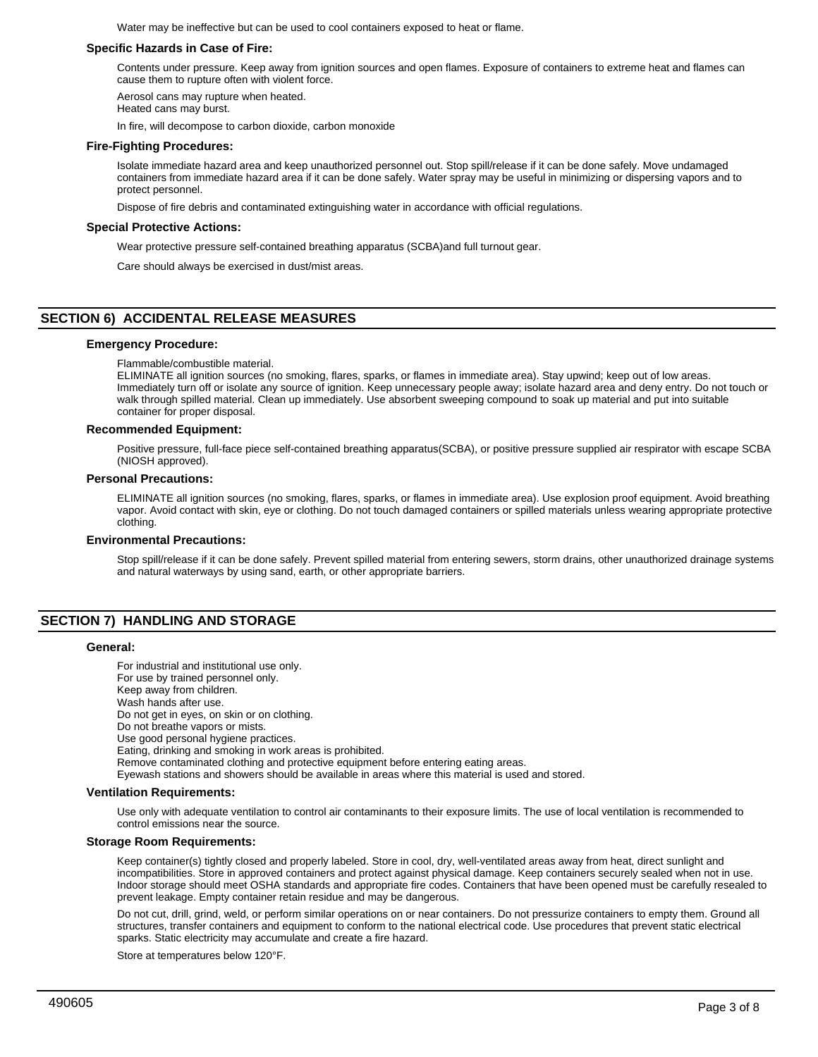Water may be ineffective but can be used to cool containers exposed to heat or flame.

## **Specific Hazards in Case of Fire:**

Contents under pressure. Keep away from ignition sources and open flames. Exposure of containers to extreme heat and flames can cause them to rupture often with violent force.

Aerosol cans may rupture when heated.

Heated cans may burst.

In fire, will decompose to carbon dioxide, carbon monoxide

## **Fire-Fighting Procedures:**

Isolate immediate hazard area and keep unauthorized personnel out. Stop spill/release if it can be done safely. Move undamaged containers from immediate hazard area if it can be done safely. Water spray may be useful in minimizing or dispersing vapors and to protect personnel.

Dispose of fire debris and contaminated extinguishing water in accordance with official regulations.

## **Special Protective Actions:**

Wear protective pressure self-contained breathing apparatus (SCBA)and full turnout gear.

Care should always be exercised in dust/mist areas.

## **SECTION 6) ACCIDENTAL RELEASE MEASURES**

#### **Emergency Procedure:**

Flammable/combustible material.

ELIMINATE all ignition sources (no smoking, flares, sparks, or flames in immediate area). Stay upwind; keep out of low areas. Immediately turn off or isolate any source of ignition. Keep unnecessary people away; isolate hazard area and deny entry. Do not touch or walk through spilled material. Clean up immediately. Use absorbent sweeping compound to soak up material and put into suitable container for proper disposal.

#### **Recommended Equipment:**

Positive pressure, full-face piece self-contained breathing apparatus(SCBA), or positive pressure supplied air respirator with escape SCBA (NIOSH approved).

#### **Personal Precautions:**

ELIMINATE all ignition sources (no smoking, flares, sparks, or flames in immediate area). Use explosion proof equipment. Avoid breathing vapor. Avoid contact with skin, eye or clothing. Do not touch damaged containers or spilled materials unless wearing appropriate protective clothing.

#### **Environmental Precautions:**

Stop spill/release if it can be done safely. Prevent spilled material from entering sewers, storm drains, other unauthorized drainage systems and natural waterways by using sand, earth, or other appropriate barriers.

# **SECTION 7) HANDLING AND STORAGE**

#### **General:**

For industrial and institutional use only. For use by trained personnel only. Keep away from children. Wash hands after use. Do not get in eyes, on skin or on clothing. Do not breathe vapors or mists. Use good personal hygiene practices. Eating, drinking and smoking in work areas is prohibited. Remove contaminated clothing and protective equipment before entering eating areas. Eyewash stations and showers should be available in areas where this material is used and stored.

#### **Ventilation Requirements:**

Use only with adequate ventilation to control air contaminants to their exposure limits. The use of local ventilation is recommended to control emissions near the source.

#### **Storage Room Requirements:**

Keep container(s) tightly closed and properly labeled. Store in cool, dry, well-ventilated areas away from heat, direct sunlight and incompatibilities. Store in approved containers and protect against physical damage. Keep containers securely sealed when not in use. Indoor storage should meet OSHA standards and appropriate fire codes. Containers that have been opened must be carefully resealed to prevent leakage. Empty container retain residue and may be dangerous.

Do not cut, drill, grind, weld, or perform similar operations on or near containers. Do not pressurize containers to empty them. Ground all structures, transfer containers and equipment to conform to the national electrical code. Use procedures that prevent static electrical sparks. Static electricity may accumulate and create a fire hazard.

Store at temperatures below 120°F.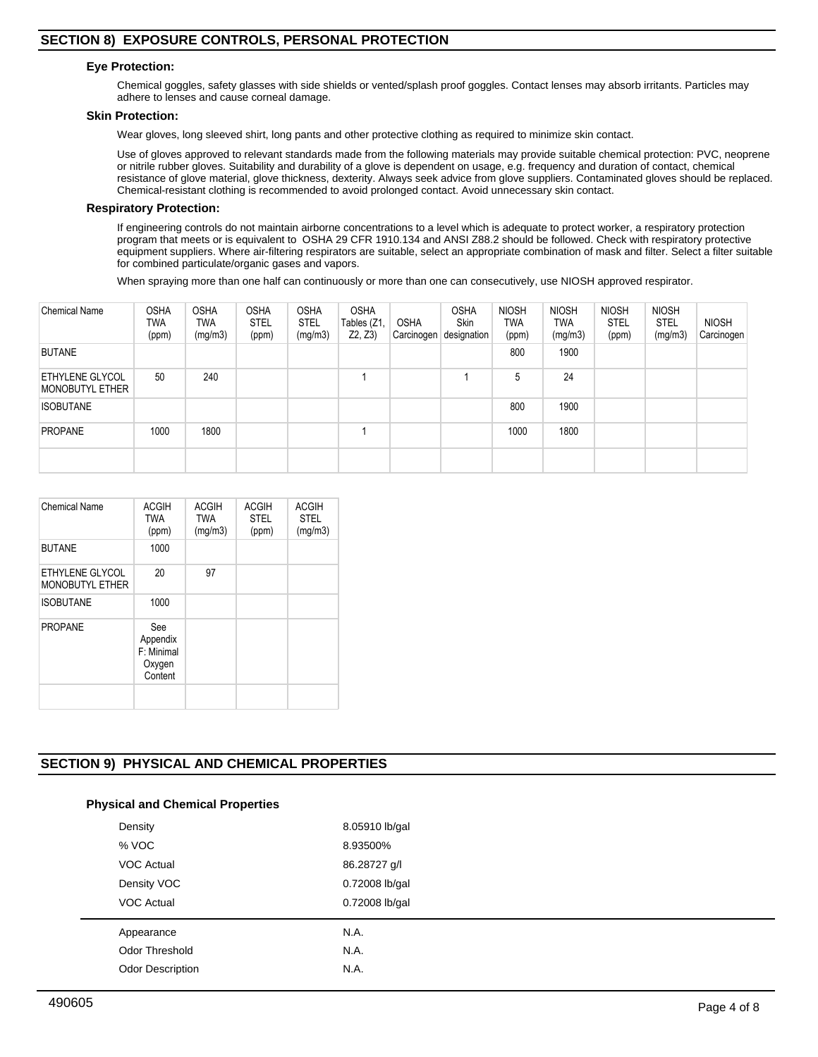## **Eye Protection:**

Chemical goggles, safety glasses with side shields or vented/splash proof goggles. Contact lenses may absorb irritants. Particles may adhere to lenses and cause corneal damage.

## **Skin Protection:**

Wear gloves, long sleeved shirt, long pants and other protective clothing as required to minimize skin contact.

Use of gloves approved to relevant standards made from the following materials may provide suitable chemical protection: PVC, neoprene or nitrile rubber gloves. Suitability and durability of a glove is dependent on usage, e.g. frequency and duration of contact, chemical resistance of glove material, glove thickness, dexterity. Always seek advice from glove suppliers. Contaminated gloves should be replaced. Chemical-resistant clothing is recommended to avoid prolonged contact. Avoid unnecessary skin contact.

#### **Respiratory Protection:**

If engineering controls do not maintain airborne concentrations to a level which is adequate to protect worker, a respiratory protection program that meets or is equivalent to OSHA 29 CFR 1910.134 and ANSI Z88.2 should be followed. Check with respiratory protective equipment suppliers. Where air-filtering respirators are suitable, select an appropriate combination of mask and filter. Select a filter suitable for combined particulate/organic gases and vapors.

When spraying more than one half can continuously or more than one can consecutively, use NIOSH approved respirator.

| <b>Chemical Name</b>                      | <b>OSHA</b><br>TWA<br>(ppm) | <b>OSHA</b><br>TWA<br>(mg/m3) | <b>OSHA</b><br><b>STEL</b><br>(ppm) | <b>OSHA</b><br><b>STEL</b><br>(mg/m3) | <b>OSHA</b><br>Tables (Z1,<br>Z2, Z3) | <b>OSHA</b><br>Carcinogen | <b>OSHA</b><br><b>Skin</b><br>designation | <b>NIOSH</b><br><b>TWA</b><br>(ppm) | <b>NIOSH</b><br><b>TWA</b><br>(mg/m3) | <b>NIOSH</b><br><b>STEL</b><br>(ppm) | <b>NIOSH</b><br><b>STEL</b><br>(mg/m3) | <b>NIOSH</b><br>Carcinogen |
|-------------------------------------------|-----------------------------|-------------------------------|-------------------------------------|---------------------------------------|---------------------------------------|---------------------------|-------------------------------------------|-------------------------------------|---------------------------------------|--------------------------------------|----------------------------------------|----------------------------|
| <b>BUTANE</b>                             |                             |                               |                                     |                                       |                                       |                           |                                           | 800                                 | 1900                                  |                                      |                                        |                            |
| ETHYLENE GLYCOL<br><b>MONOBUTYL ETHER</b> | 50                          | 240                           |                                     |                                       |                                       |                           |                                           | 5                                   | 24                                    |                                      |                                        |                            |
| <b>ISOBUTANE</b>                          |                             |                               |                                     |                                       |                                       |                           |                                           | 800                                 | 1900                                  |                                      |                                        |                            |
| <b>PROPANE</b>                            | 1000                        | 1800                          |                                     |                                       |                                       |                           |                                           | 1000                                | 1800                                  |                                      |                                        |                            |
|                                           |                             |                               |                                     |                                       |                                       |                           |                                           |                                     |                                       |                                      |                                        |                            |

| Chemical Name                             | <b>ACGIH</b><br><b>TWA</b><br>(ppm)                | <b>ACGIH</b><br><b>TWA</b><br>(mg/m3) | <b>ACGIH</b><br><b>STEL</b><br>(ppm) | <b>ACGIH</b><br><b>STEL</b><br>(mg/m3) |
|-------------------------------------------|----------------------------------------------------|---------------------------------------|--------------------------------------|----------------------------------------|
| <b>BUTANE</b>                             | 1000                                               |                                       |                                      |                                        |
| ETHYLENE GLYCOL<br><b>MONOBUTYL ETHER</b> | 20                                                 | 97                                    |                                      |                                        |
| <b>ISOBUTANE</b>                          | 1000                                               |                                       |                                      |                                        |
| <b>PROPANE</b>                            | See<br>Appendix<br>F: Minimal<br>Oxygen<br>Content |                                       |                                      |                                        |
|                                           |                                                    |                                       |                                      |                                        |

# **SECTION 9) PHYSICAL AND CHEMICAL PROPERTIES**

# **Physical and Chemical Properties**

| Density               | 8.05910 lb/gal |
|-----------------------|----------------|
| % VOC                 | 8.93500%       |
| <b>VOC Actual</b>     | 86.28727 g/l   |
| Density VOC           | 0.72008 lb/gal |
| <b>VOC Actual</b>     | 0.72008 lb/gal |
| Appearance            | N.A.           |
| <b>Odor Threshold</b> | N.A.           |
| Odor Description      | N.A.           |
|                       |                |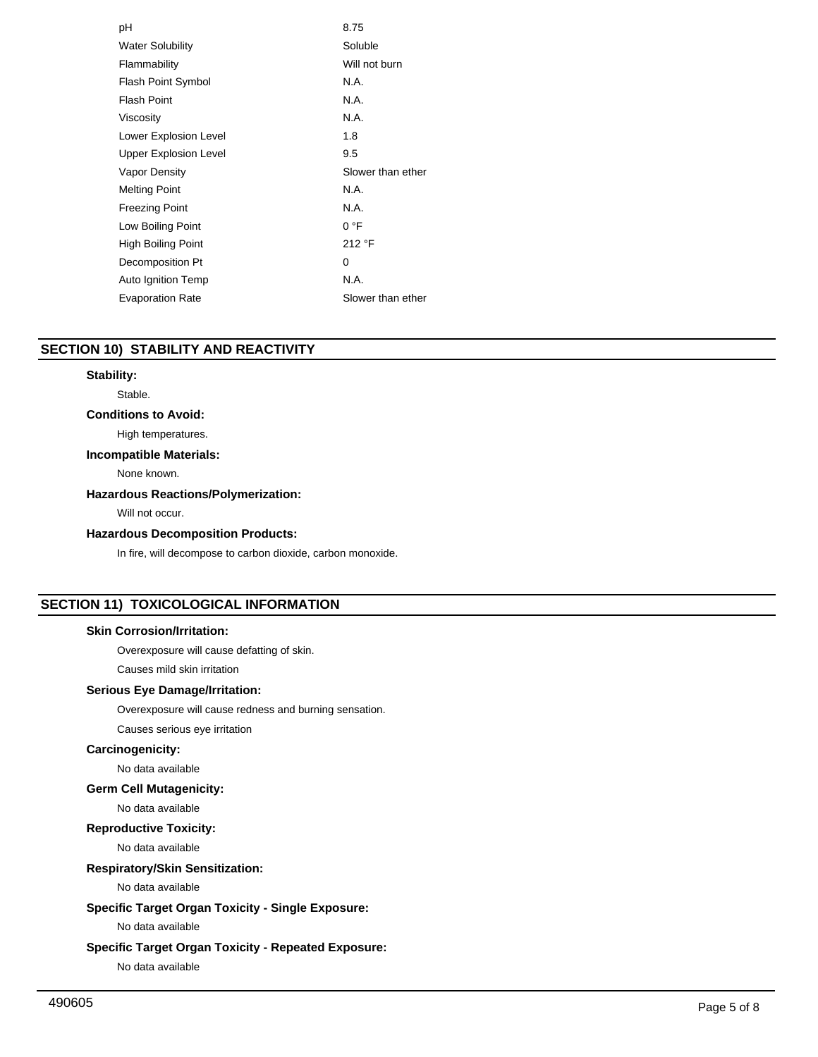| рH                           | 8.75              |
|------------------------------|-------------------|
| <b>Water Solubility</b>      | Soluble           |
| Flammability                 | Will not burn     |
| <b>Flash Point Symbol</b>    | N.A.              |
| <b>Flash Point</b>           | N.A.              |
| Viscosity                    | N.A.              |
| Lower Explosion Level        | 1.8               |
| <b>Upper Explosion Level</b> | 9.5               |
| <b>Vapor Density</b>         | Slower than ether |
| <b>Melting Point</b>         | N.A.              |
| <b>Freezing Point</b>        | N.A.              |
| Low Boiling Point            | 0 °F              |
| <b>High Boiling Point</b>    | 212 °F            |
| Decomposition Pt             | 0                 |
| Auto Ignition Temp           | N.A.              |
| <b>Evaporation Rate</b>      | Slower than ether |

## **SECTION 10) STABILITY AND REACTIVITY**

## **Stability:**

Stable.

# **Conditions to Avoid:**

## High temperatures.

## **Incompatible Materials:**

None known.

# **Hazardous Reactions/Polymerization:**

Will not occur.

## **Hazardous Decomposition Products:**

In fire, will decompose to carbon dioxide, carbon monoxide.

# **SECTION 11) TOXICOLOGICAL INFORMATION**

# **Skin Corrosion/Irritation:**

Overexposure will cause defatting of skin.

Causes mild skin irritation

# **Serious Eye Damage/Irritation:**

Overexposure will cause redness and burning sensation.

Causes serious eye irritation

## **Carcinogenicity:**

No data available

## **Germ Cell Mutagenicity:**

No data available

## **Reproductive Toxicity:**

No data available

# **Respiratory/Skin Sensitization:**

No data available

## **Specific Target Organ Toxicity - Single Exposure:**

No data available

# **Specific Target Organ Toxicity - Repeated Exposure:**

No data available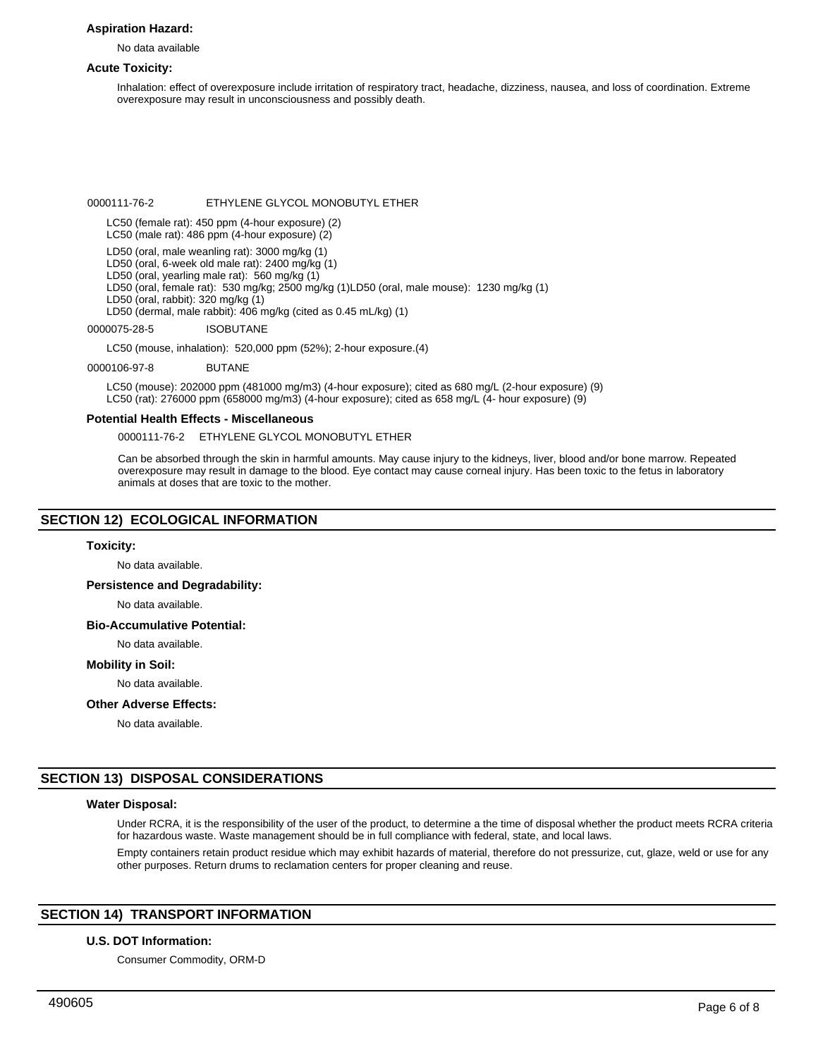## **Aspiration Hazard:**

No data available

#### **Acute Toxicity:**

Inhalation: effect of overexposure include irritation of respiratory tract, headache, dizziness, nausea, and loss of coordination. Extreme overexposure may result in unconsciousness and possibly death.

0000111-76-2 ETHYLENE GLYCOL MONOBUTYL ETHER

LC50 (female rat): 450 ppm (4-hour exposure) (2)

LC50 (male rat): 486 ppm (4-hour exposure) (2)

LD50 (oral, male weanling rat): 3000 mg/kg (1)

LD50 (oral, 6-week old male rat): 2400 mg/kg (1)

LD50 (oral, yearling male rat): 560 mg/kg (1)

LD50 (oral, female rat): 530 mg/kg; 2500 mg/kg (1)LD50 (oral, male mouse): 1230 mg/kg (1)

LD50 (oral, rabbit): 320 mg/kg (1)

LD50 (dermal, male rabbit): 406 mg/kg (cited as 0.45 mL/kg) (1)

0000075-28-5 ISOBUTANE

LC50 (mouse, inhalation): 520,000 ppm (52%); 2-hour exposure.(4)

0000106-97-8 BUTANE

LC50 (mouse): 202000 ppm (481000 mg/m3) (4-hour exposure); cited as 680 mg/L (2-hour exposure) (9) LC50 (rat): 276000 ppm (658000 mg/m3) (4-hour exposure); cited as 658 mg/L (4- hour exposure) (9)

#### **Potential Health Effects - Miscellaneous**

0000111-76-2 ETHYLENE GLYCOL MONOBUTYL ETHER

Can be absorbed through the skin in harmful amounts. May cause injury to the kidneys, liver, blood and/or bone marrow. Repeated overexposure may result in damage to the blood. Eye contact may cause corneal injury. Has been toxic to the fetus in laboratory animals at doses that are toxic to the mother.

## **SECTION 12) ECOLOGICAL INFORMATION**

#### **Toxicity:**

No data available.

#### **Persistence and Degradability:**

No data available.

## **Bio-Accumulative Potential:**

No data available.

#### **Mobility in Soil:**

No data available.

#### **Other Adverse Effects:**

No data available.

## **SECTION 13) DISPOSAL CONSIDERATIONS**

#### **Water Disposal:**

Under RCRA, it is the responsibility of the user of the product, to determine a the time of disposal whether the product meets RCRA criteria for hazardous waste. Waste management should be in full compliance with federal, state, and local laws.

Empty containers retain product residue which may exhibit hazards of material, therefore do not pressurize, cut, glaze, weld or use for any other purposes. Return drums to reclamation centers for proper cleaning and reuse.

# **SECTION 14) TRANSPORT INFORMATION**

#### **U.S. DOT Information:**

Consumer Commodity, ORM-D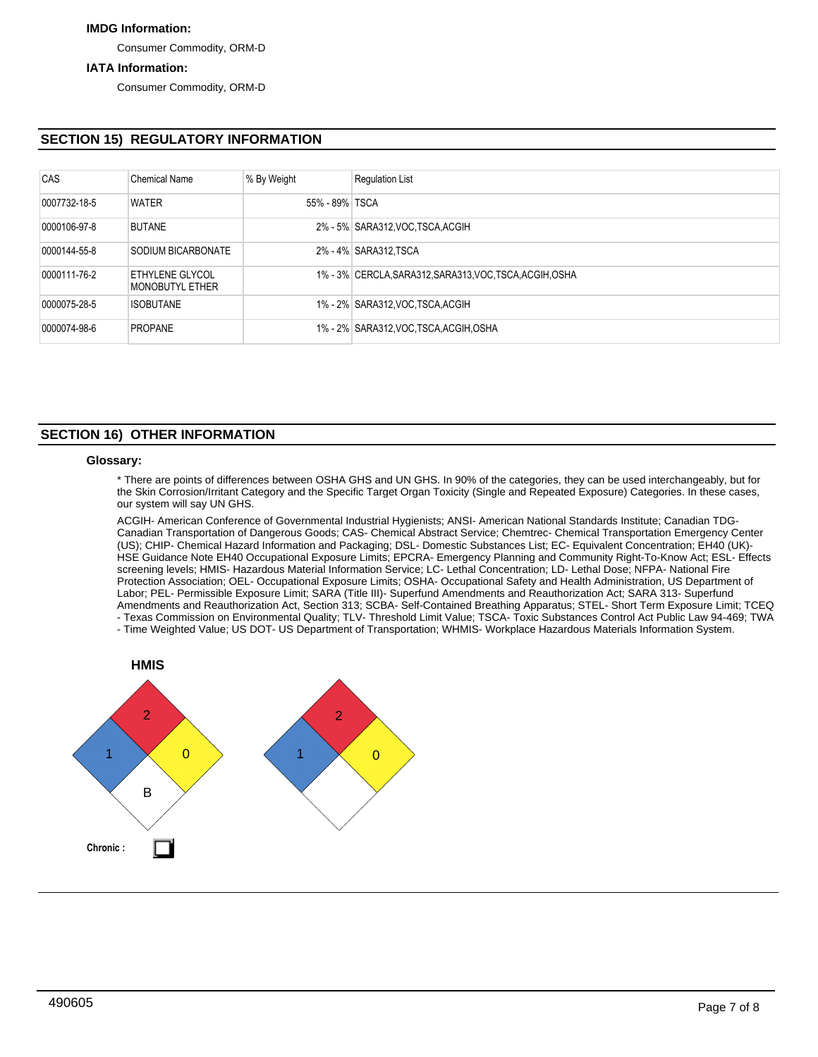# **IMDG Information:**

Consumer Commodity, ORM-D

## **IATA Information:**

Consumer Commodity, ORM-D

# **SECTION 15) REGULATORY INFORMATION**

| CAS          | <b>Chemical Name</b>               | % By Weight    | <b>Regulation List</b>                                   |
|--------------|------------------------------------|----------------|----------------------------------------------------------|
| 0007732-18-5 | <b>WATER</b>                       | 55% - 89% TSCA |                                                          |
| 0000106-97-8 | <b>BUTANE</b>                      |                | 2% - 5% SARA312, VOC TSCA, ACGIH                         |
| 0000144-55-8 | SODIUM BICARBONATE                 |                | 2% - 4% SARA312, TSCA                                    |
| 0000111-76-2 | ETHYLENE GLYCOL<br>MONOBUTYL ETHER |                | 1% - 3% CERCLA, SARA312, SARA313, VOC, TSCA, ACGIH, OSHA |
| 0000075-28-5 | <b>ISOBUTANE</b>                   |                | 1% - 2% SARA312, VOC TSCA, ACGIH                         |
| 0000074-98-6 | <b>PROPANE</b>                     |                | 1% - 2% SARA312, VOC, TSCA, ACGIH, OSHA                  |

## **SECTION 16) OTHER INFORMATION**

#### **Glossary:**

\* There are points of differences between OSHA GHS and UN GHS. In 90% of the categories, they can be used interchangeably, but for the Skin Corrosion/Irritant Category and the Specific Target Organ Toxicity (Single and Repeated Exposure) Categories. In these cases, our system will say UN GHS.

ACGIH- American Conference of Governmental Industrial Hygienists; ANSI- American National Standards Institute; Canadian TDG-Canadian Transportation of Dangerous Goods; CAS- Chemical Abstract Service; Chemtrec- Chemical Transportation Emergency Center (US); CHIP- Chemical Hazard Information and Packaging; DSL- Domestic Substances List; EC- Equivalent Concentration; EH40 (UK)- HSE Guidance Note EH40 Occupational Exposure Limits; EPCRA- Emergency Planning and Community Right-To-Know Act; ESL- Effects screening levels; HMIS- Hazardous Material Information Service; LC- Lethal Concentration; LD- Lethal Dose; NFPA- National Fire Protection Association; OEL- Occupational Exposure Limits; OSHA- Occupational Safety and Health Administration, US Department of Labor; PEL- Permissible Exposure Limit; SARA (Title III)- Superfund Amendments and Reauthorization Act; SARA 313- Superfund Amendments and Reauthorization Act, Section 313; SCBA- Self-Contained Breathing Apparatus; STEL- Short Term Exposure Limit; TCEQ - Texas Commission on Environmental Quality; TLV- Threshold Limit Value; TSCA- Toxic Substances Control Act Public Law 94-469; TWA

- Time Weighted Value; US DOT- US Department of Transportation; WHMIS- Workplace Hazardous Materials Information System.